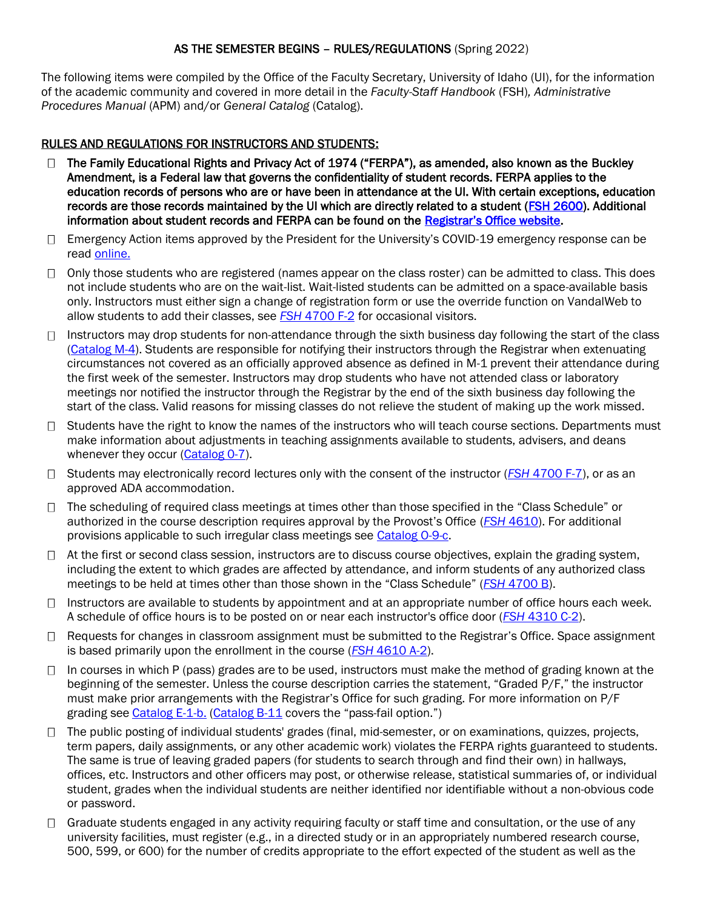### AS THE SEMESTER BEGINS – RULES/REGULATIONS (Spring 2022)

The following items were compiled by the Office of the Faculty Secretary, University of Idaho (UI), for the information of the academic community and covered in more detail in the *Faculty-Staff Handbook* (FSH)*, Administrative Procedures Manual* (APM) and/or *General Catalog* (Catalog).

#### RULES AND REGULATIONS FOR INSTRUCTORS AND STUDENTS:

- $\Box$  The Family Educational Rights and Privacy Act of 1974 ("FERPA"), as amended, also known as the Buckley Amendment, is a Federal law that governs the confidentiality of student records. FERPA applies to the education records of persons who are or have been in attendance at the UI. With certain exceptions, education records are those records maintained by the UI which are directly related to a student [\(FSH 2600\)](https://www.webpages.uidaho.edu/fsh/2600.html). Additional information about student records and FERPA can be found on the [Registrar's Office website](https://www.uidaho.edu/registrar/students/studentrights).
- $\Box$  Emergency Action items approved by the President for the University's COVID-19 emergency response can be read [online.](https://www.uidaho.edu/vandal-health-clinic/coronavirus/emergency-actions)
- $\Box$  Only those students who are registered (names appear on the class roster) can be admitted to class. This does not include students who are on the wait-list. Wait-listed students can be admitted on a space-available basis only. Instructors must either sign a change of registration form or use the override function on VandalWeb to allow students to add their classes, see *FSH* [4700 F-2](https://www.webpages.uidaho.edu/fsh/4700.html#F.) for occasional visitors.
- $\Box$  Instructors may drop students for non-attendance through the sixth business day following the start of the class [\(Catalog M-4\)](https://www.uidaho.edu/registrar/classes/catalogs). Students are responsible for notifying their instructors through the Registrar when extenuating circumstances not covered as an officially approved absence as defined in M-1 prevent their attendance during the first week of the semester. Instructors may drop students who have not attended class or laboratory meetings nor notified the instructor through the Registrar by the end of the sixth business day following the start of the class. Valid reasons for missing classes do not relieve the student of making up the work missed.
- $\Box$  Students have the right to know the names of the instructors who will teach course sections. Departments must make information about adjustments in teaching assignments available to students, advisers, and deans whenever they occur [\(Catalog 0-7\)](https://www.uidaho.edu/registrar/classes/catalogs).
- □ Students may electronically record lectures only with the consent of the instructor (*FSH 4700 F-7*), or as an approved ADA accommodation.
- $\Box$  The scheduling of required class meetings at times other than those specified in the "Class Schedule" or authorized in the course description requires approval by the Provost's Office (*FSH* [4610\)](https://www.webpages.uidaho.edu/fsh/4610.html). For additional provisions applicable to such irregular class meetings see [Catalog O-9-c.](https://www.uidaho.edu/registrar/classes/catalogs)
- □ At the first or second class session, instructors are to discuss course objectives, explain the grading system, including the extent to which grades are affected by attendance, and inform students of any authorized class meetings to be held at times other than those shown in the "Class Schedule" (*FSH* [4700 B\)](https://www.webpages.uidaho.edu/fsh/4700.html#B.).
- $\Box$  Instructors are available to students by appointment and at an appropriate number of office hours each week. A schedule of office hours is to be posted on or near each instructor's office door (*FSH* [4310 C-2\)](https://www.webpages.uidaho.edu/fsh/4310.html#C.).
- □ Requests for changes in classroom assignment must be submitted to the Registrar's Office. Space assignment is based primarily upon the enrollment in the course (*FSH* [4610 A-2\)](https://www.webpages.uidaho.edu/fsh/4610.html).
- $\Box$  In courses in which P (pass) grades are to be used, instructors must make the method of grading known at the beginning of the semester. Unless the course description carries the statement, "Graded P/F," the instructor must make prior arrangements with the Registrar's Office for such grading. For more information on P/F grading see [Catalog E-1-b.](https://www.uidaho.edu/registrar/classes/catalogs) [\(Catalog B-11](https://www.uidaho.edu/registrar/classes/catalogs) covers the "pass-fail option.")
- □ The public posting of individual students' grades (final, mid-semester, or on examinations, quizzes, projects, term papers, daily assignments, or any other academic work) violates the FERPA rights guaranteed to students. The same is true of leaving graded papers (for students to search through and find their own) in hallways, offices, etc. Instructors and other officers may post, or otherwise release, statistical summaries of, or individual student, grades when the individual students are neither identified nor identifiable without a non-obvious code or password.
- $\Box$  Graduate students engaged in any activity requiring faculty or staff time and consultation, or the use of any university facilities, must register (e.g., in a directed study or in an appropriately numbered research course, 500, 599, or 600) for the number of credits appropriate to the effort expected of the student as well as the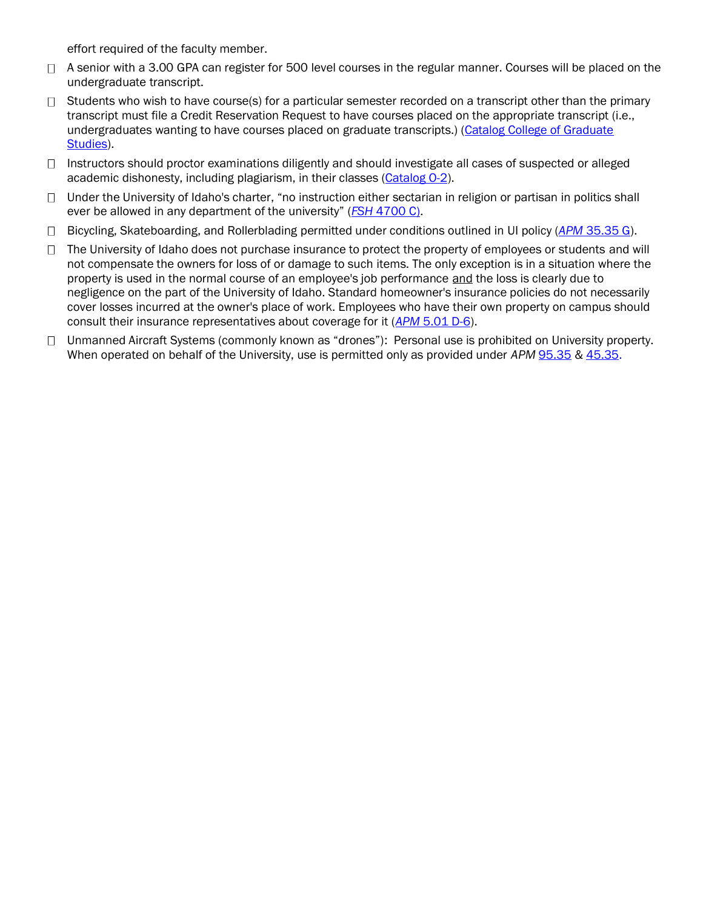effort required of the faculty member.

- □ A senior with a 3.00 GPA can register for 500 level courses in the regular manner. Courses will be placed on the undergraduate transcript.
- $\Box$  Students who wish to have course(s) for a particular semester recorded on a transcript other than the primary transcript must file a Credit Reservation Request to have courses placed on the appropriate transcript (i.e., undergraduates wanting to have courses placed on graduate transcripts.) [\(Catalog College of Graduate](https://www.uidaho.edu/cogs/forms)  [Studies\)](https://www.uidaho.edu/cogs/forms).
- $\Box$  Instructors should proctor examinations diligently and should investigate all cases of suspected or alleged academic dishonesty, including plagiarism, in their classes [\(Catalog O-2\)](https://www.uidaho.edu/registrar/classes/catalogs).
- $\Box$  Under the University of Idaho's charter, "no instruction either sectarian in religion or partisan in politics shall ever be allowed in any department of the university" (*FSH* [4700 C\).](https://www.webpages.uidaho.edu/fsh/4700.html#C.)
- Bicycling, Skateboarding, and Rollerblading permitted under conditions outlined in UI policy (*APM* [35.35](https://www.uidaho.edu/apm/35/35) G).
- $\Box$  The University of Idaho does not purchase insurance to protect the property of employees or students and will not compensate the owners for loss of or damage to such items. The only exception is in a situation where the property is used in the normal course of an employee's job performance and the loss is clearly due to negligence on the part of the University of Idaho. Standard homeowner's insurance policies do not necessarily cover losses incurred at the owner's place of work. Employees who have their own property on campus should consult their insurance representatives about coverage for it (*APM* [5.01 D-6\)](https://www.uidaho.edu/apm/05/01).
- □ Unmanned Aircraft Systems (commonly known as "drones"): Personal use is prohibited on University property. When operated on behalf of the University, use is permitted only as provided under *APM* [95.35](https://www.uidaho.edu/apm/95/35) & [45.35.](https://www.uidaho.edu/apm/45/35)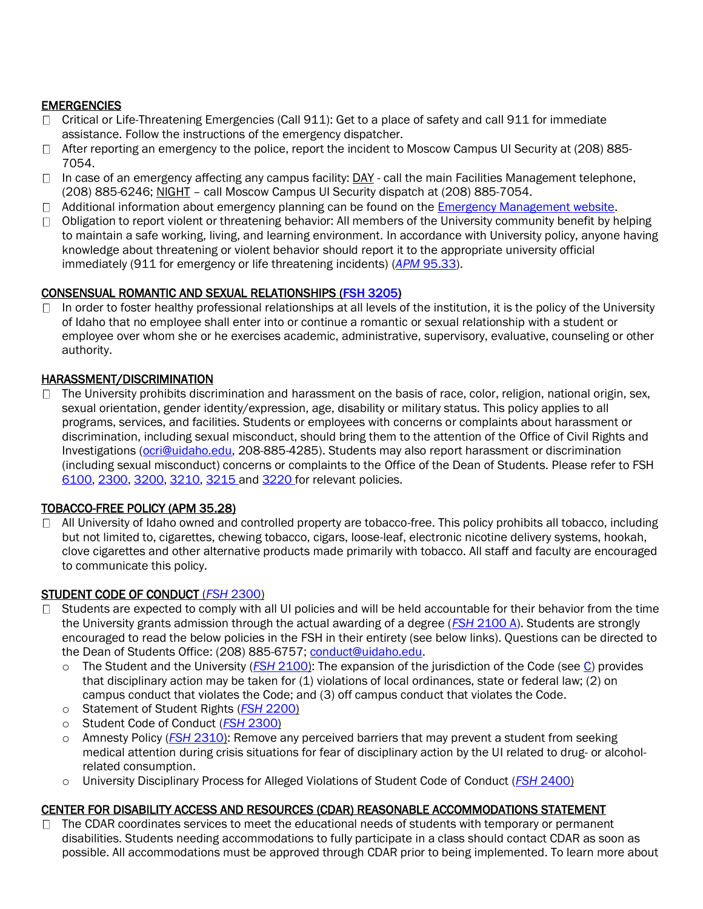# **EMERGENCIES**

- □ Critical or Life-Threatening Emergencies (Call 911): Get to a place of safety and call 911 for immediate assistance. Follow the instructions of the emergency dispatcher.
- $\Box$  After reporting an emergency to the police, report the incident to Moscow Campus UI Security at (208) 885-7054.
- $\Box$  In case of an emergency affecting any campus facility: DAY call the main Facilities Management telephone, (208) 885-6246; NIGHT – call Moscow Campus UI Security dispatch at (208) 885-7054.
- $\Box$  Additional information about emergency planning can be found on the [Emergency Management website.](https://www.uidaho.edu/infrastructure/pss/emergency-management)
- $\Box$  Obligation to report violent or threatening behavior: All members of the University community benefit by helping to maintain a safe working, living, and learning environment. In accordance with University policy, anyone having knowledge about threatening or violent behavior should report it to the appropriate university official immediately (911 for emergency or life threatening incidents) (*APM* [95.33\)](https://www.uidaho.edu/apm/95/33).

# CONSENSUAL ROMANTIC AND SEXUAL RELATIONSHIPS [\(FSH 3205\)](https://www.webpages.uidaho.edu/fsh/3205.htm)

In order to foster healthy professional relationships at all levels of the institution, it is the policy of the University  $\Box$ of Idaho that no employee shall enter into or continue a romantic or sexual relationship with a student or employee over whom she or he exercises academic, administrative, supervisory, evaluative, counseling or other authority.

# HARASSMENT/DISCRIMINATION

 $\Box$  The University prohibits discrimination and harassment on the basis of race, color, religion, national origin, sex, sexual orientation, gender identity/expression, age, disability or military status. This policy applies to all programs, services, and facilities. Students or employees with concerns or complaints about harassment or discrimination, including sexual misconduct, should bring them to the attention of the Office of Civil Rights and Investigations [\(ocri@uidaho.edu,](mailto:ocri@uidaho.edu) 208-885-4285). Students may also report harassment or discrimination (including sexual misconduct) concerns or complaints to the Office of the Dean of Students. Please refer to FSH [6100,](https://www.webpages.uidaho.edu/fsh/6100.html) [2300,](https://www.webpages.uidaho.edu/fsh/2300.html) [3200,](https://www.webpages.uidaho.edu/fsh/3200.html) [3210,](https://www.webpages.uidaho.edu/fsh/3210.html) [3215 a](https://www.webpages.uidaho.edu/fsh/3215.html)nd [3220 f](https://www.webpages.uidaho.edu/fsh/3220.html)or relevant policies.

### TOBACCO-FREE POLICY (APM [35.28\)](https://www.uidaho.edu/apm/35/28)

 $\Box$  All University of Idaho owned and controlled property are tobacco-free. This policy prohibits all tobacco, including but not limited to, cigarettes, chewing tobacco, cigars, loose-leaf, electronic nicotine delivery systems, hookah, clove cigarettes and other alternative products made primarily with tobacco. All staff and faculty are encouraged to communicate this policy.

### STUDENT CODE OF CONDUCT (*FSH* [2300\)](https://www.webpages.uidaho.edu/fsh/2300.html)

- $\Box$  Students are expected to comply with all UI policies and will be held accountable for their behavior from the time the University grants admission through the actual awarding of a degree (*FSH* [2100 A\)](https://www.webpages.uidaho.edu/fsh/2100.html). Students are strongly encouraged to read the below policies in the FSH in their entirety (see below links). Questions can be directed to the Dean of Students Office: (208) 885-6757; [conduct@uidaho.edu.](mailto:conduct@uidaho.edu)
	- o The Student and the University (*FSH* [2100\)](https://www.webpages.uidaho.edu/fsh/2100.html): The expansion of the jurisdiction of the Code (see [C\)](https://www.webpages.uidaho.edu/fsh/2100.html) provides that disciplinary action may be taken for (1) violations of local ordinances, state or federal law; (2) on campus conduct that violates the Code; and (3) off campus conduct that violates the Code.
	- o Statement of Student Rights (*FSH* [2200\)](https://www.webpages.uidaho.edu/fsh/2200.html)
	- o Student Code of Conduct (*FSH* [2300\)](https://www.webpages.uidaho.edu/fsh/2300.html)
	- o Amnesty Policy (*FSH* [2310\)](https://www.webpages.uidaho.edu/fsh/2310.htm): Remove any perceived barriers that may prevent a student from seeking medical attention during crisis situations for fear of disciplinary action by the UI related to drug- or alcoholrelated consumption.
	- o University Disciplinary Process for Alleged Violations of Student Code of Conduct (*FSH* [2400\)](https://www.webpages.uidaho.edu/fsh/2400.html)

# CENTER FOR DISABILITY ACCESS AND RESOURCES (CDAR) REASONABLE ACCOMMODATIONS STATEMENT

 $\Box$  The CDAR coordinates services to meet the educational needs of students with temporary or permanent disabilities. Students needing accommodations to fully participate in a class should contact CDAR as soon as possible. All accommodations must be approved through CDAR prior to being implemented. To learn more about